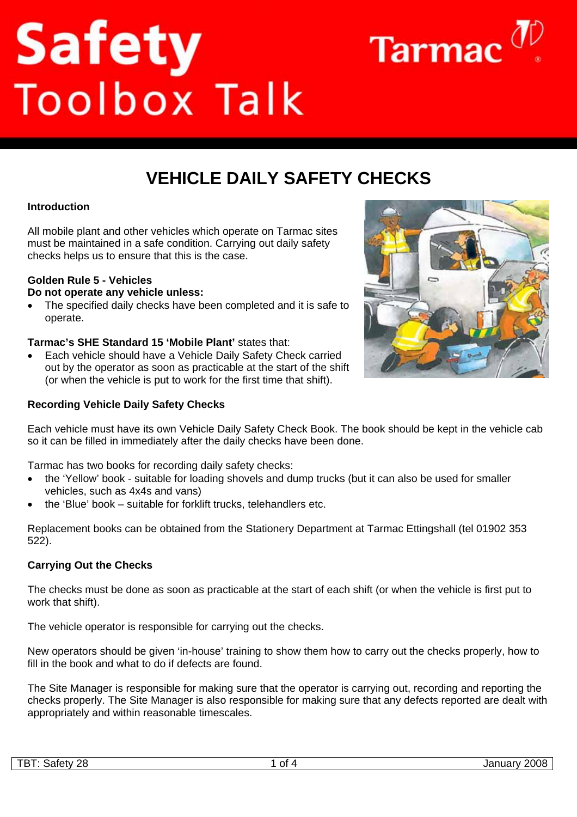# Safety<br>Toolbox Talk



# **VEHICLE DAILY SAFFTY CHECKS**

## **Introduction**

All mobile plant and other vehicles which operate on Tarmac sites must be maintained in a safe condition. Carrying out daily safety checks helps us to ensure that this is the case.

### **Golden Rule 5 - Vehicles**

**Do not operate any vehicle unless:** 

• The specified daily checks have been completed and it is safe to operate.

### **Tarmac's SHE Standard 15 'Mobile Plant'** states that:

• Each vehicle should have a Vehicle Daily Safety Check carried out by the operator as soon as practicable at the start of the shift (or when the vehicle is put to work for the first time that shift).

### **Recording Vehicle Daily Safety Checks**



Each vehicle must have its own Vehicle Daily Safety Check Book. The book should be kept in the vehicle cab so it can be filled in immediately after the daily checks have been done.

Tarmac has two books for recording daily safety checks:

- the 'Yellow' book suitable for loading shovels and dump trucks (but it can also be used for smaller vehicles, such as 4x4s and vans)
- the 'Blue' book suitable for forklift trucks, telehandlers etc.

Replacement books can be obtained from the Stationery Department at Tarmac Ettingshall (tel 01902 353 522).

### **Carrying Out the Checks**

The checks must be done as soon as practicable at the start of each shift (or when the vehicle is first put to work that shift).

The vehicle operator is responsible for carrying out the checks.

New operators should be given 'in-house' training to show them how to carry out the checks properly, how to fill in the book and what to do if defects are found.

The Site Manager is responsible for making sure that the operator is carrying out, recording and reporting the checks properly. The Site Manager is also responsible for making sure that any defects reported are dealt with appropriately and within reasonable timescales.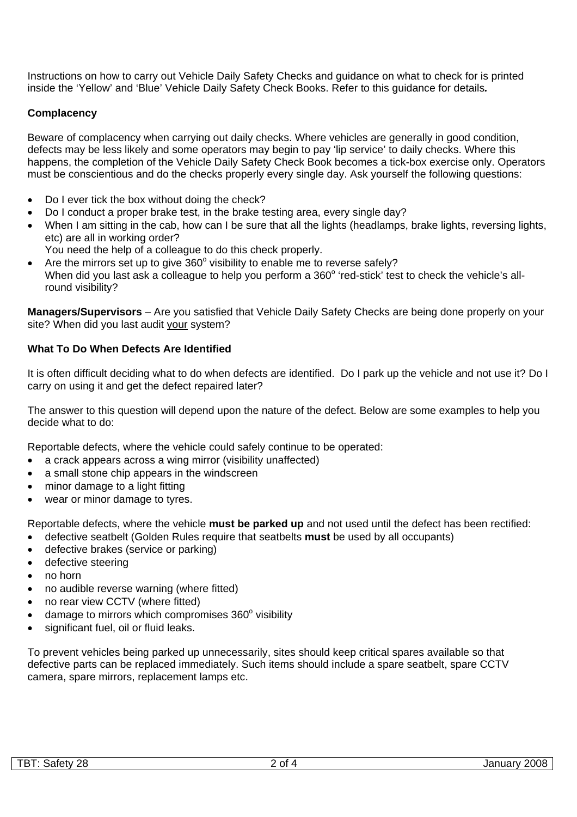Instructions on how to carry out Vehicle Daily Safety Checks and guidance on what to check for is printed inside the 'Yellow' and 'Blue' Vehicle Daily Safety Check Books. Refer to this guidance for details*.*

## **Complacency**

Beware of complacency when carrying out daily checks. Where vehicles are generally in good condition, defects may be less likely and some operators may begin to pay 'lip service' to daily checks. Where this happens, the completion of the Vehicle Daily Safety Check Book becomes a tick-box exercise only. Operators must be conscientious and do the checks properly every single day. Ask yourself the following questions:

- Do I ever tick the box without doing the check?
- Do I conduct a proper brake test, in the brake testing area, every single day?
- When I am sitting in the cab, how can I be sure that all the lights (headlamps, brake lights, reversing lights, etc) are all in working order?
	- You need the help of a colleague to do this check properly.
- Are the mirrors set up to give  $360^\circ$  visibility to enable me to reverse safely? When did you last ask a colleague to help you perform a 360° 'red-stick' test to check the vehicle's allround visibility?

**Managers/Supervisors** – Are you satisfied that Vehicle Daily Safety Checks are being done properly on your site? When did you last audit your system?

### **What To Do When Defects Are Identified**

It is often difficult deciding what to do when defects are identified. Do I park up the vehicle and not use it? Do I carry on using it and get the defect repaired later?

The answer to this question will depend upon the nature of the defect. Below are some examples to help you decide what to do:

Reportable defects, where the vehicle could safely continue to be operated:

- a crack appears across a wing mirror (visibility unaffected)
- a small stone chip appears in the windscreen
- minor damage to a light fitting
- wear or minor damage to tyres.

Reportable defects, where the vehicle **must be parked up** and not used until the defect has been rectified:

- defective seatbelt (Golden Rules require that seatbelts **must** be used by all occupants)
- defective brakes (service or parking)
- defective steering
- no horn
- no audible reverse warning (where fitted)
- no rear view CCTV (where fitted)
- $\bullet$  damage to mirrors which compromises 360 $^{\circ}$  visibility
- significant fuel, oil or fluid leaks.

To prevent vehicles being parked up unnecessarily, sites should keep critical spares available so that defective parts can be replaced immediately. Such items should include a spare seatbelt, spare CCTV camera, spare mirrors, replacement lamps etc.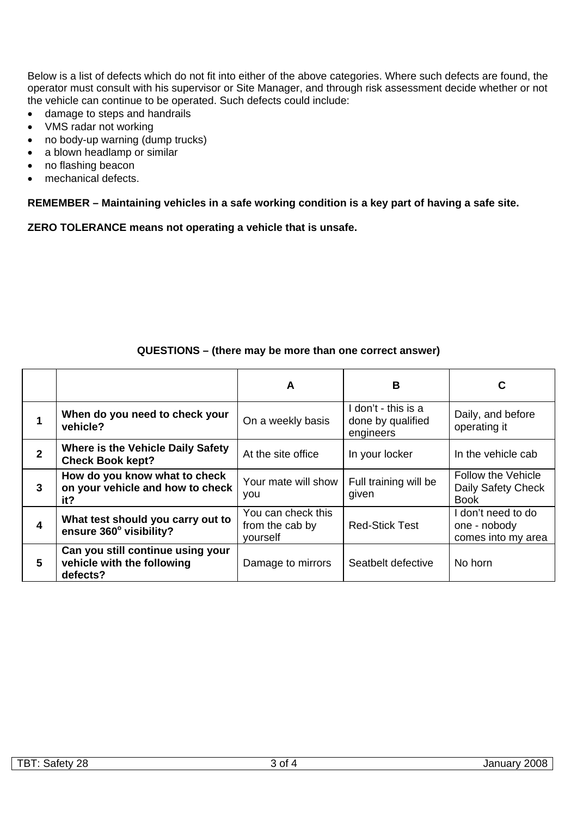Below is a list of defects which do not fit into either of the above categories. Where such defects are found, the operator must consult with his supervisor or Site Manager, and through risk assessment decide whether or not the vehicle can continue to be operated. Such defects could include:

- damage to steps and handrails
- VMS radar not working
- no body-up warning (dump trucks)
- a blown headlamp or similar
- no flashing beacon
- mechanical defects.

**REMEMBER – Maintaining vehicles in a safe working condition is a key part of having a safe site.** 

**ZERO TOLERANCE means not operating a vehicle that is unsafe.**

### **QUESTIONS – (there may be more than one correct answer)**

|              |                                                                             | A                                                 | в                                                     | C                                                              |
|--------------|-----------------------------------------------------------------------------|---------------------------------------------------|-------------------------------------------------------|----------------------------------------------------------------|
|              | When do you need to check your<br>vehicle?                                  | On a weekly basis                                 | I don't - this is a<br>done by qualified<br>engineers | Daily, and before<br>operating it                              |
| $\mathbf{2}$ | <b>Where is the Vehicle Daily Safety</b><br><b>Check Book kept?</b>         | At the site office                                | In your locker                                        | In the vehicle cab                                             |
| 3            | How do you know what to check<br>on your vehicle and how to check<br>it?    | Your mate will show<br>you                        | Full training will be<br>given                        | <b>Follow the Vehicle</b><br>Daily Safety Check<br><b>Book</b> |
| 4            | What test should you carry out to<br>ensure 360° visibility?                | You can check this<br>from the cab by<br>vourself | <b>Red-Stick Test</b>                                 | I don't need to do<br>one - nobody<br>comes into my area       |
| 5            | Can you still continue using your<br>vehicle with the following<br>defects? | Damage to mirrors                                 | Seatbelt defective                                    | No horn                                                        |